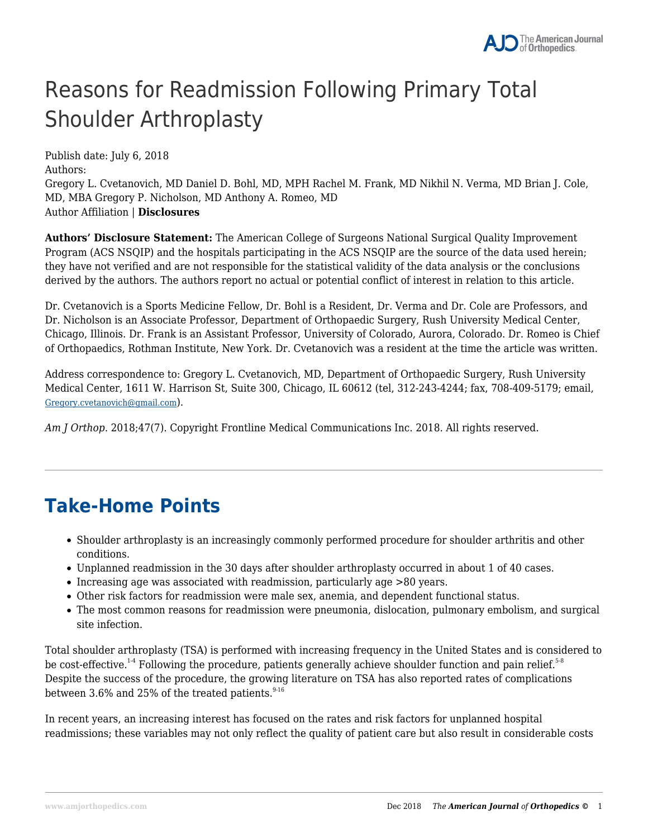# Reasons for Readmission Following Primary Total Shoulder Arthroplasty

Publish date: July 6, 2018 Authors: Gregory L. Cvetanovich, MD Daniel D. Bohl, MD, MPH Rachel M. Frank, MD Nikhil N. Verma, MD Brian J. Cole, MD, MBA Gregory P. Nicholson, MD Anthony A. Romeo, MD Author Affiliation | **Disclosures**

**Authors' Disclosure Statement:** The American College of Surgeons National Surgical Quality Improvement Program (ACS NSQIP) and the hospitals participating in the ACS NSQIP are the source of the data used herein; they have not verified and are not responsible for the statistical validity of the data analysis or the conclusions derived by the authors. The authors report no actual or potential conflict of interest in relation to this article.

Dr. Cvetanovich is a Sports Medicine Fellow, Dr. Bohl is a Resident, Dr. Verma and Dr. Cole are Professors, and Dr. Nicholson is an Associate Professor, Department of Orthopaedic Surgery, Rush University Medical Center, Chicago, Illinois. Dr. Frank is an Assistant Professor, University of Colorado, Aurora, Colorado. Dr. Romeo is Chief of Orthopaedics, Rothman Institute, New York. Dr. Cvetanovich was a resident at the time the article was written.

Address correspondence to: Gregory L. Cvetanovich, MD, Department of Orthopaedic Surgery, Rush University Medical Center, 1611 W. Harrison St, Suite 300, Chicago, IL 60612 (tel, 312-243-4244; fax, 708-409-5179; email, Gregory.cvetanovich@gmail.com).

*Am J Orthop*. 2018;47(7). Copyright Frontline Medical Communications Inc. 2018. All rights reserved.

# **Take-Home Points**

- Shoulder arthroplasty is an increasingly commonly performed procedure for shoulder arthritis and other conditions.
- Unplanned readmission in the 30 days after shoulder arthroplasty occurred in about 1 of 40 cases.
- Increasing age was associated with readmission, particularly age >80 years.
- Other risk factors for readmission were male sex, anemia, and dependent functional status.
- The most common reasons for readmission were pneumonia, dislocation, pulmonary embolism, and surgical site infection.

Total shoulder arthroplasty (TSA) is performed with increasing frequency in the United States and is considered to be cost-effective.<sup>1-4</sup> Following the procedure, patients generally achieve shoulder function and pain relief.<sup>5-8</sup> Despite the success of the procedure, the growing literature on TSA has also reported rates of complications between 3.6% and 25% of the treated patients. $916$ 

In recent years, an increasing interest has focused on the rates and risk factors for unplanned hospital readmissions; these variables may not only reflect the quality of patient care but also result in considerable costs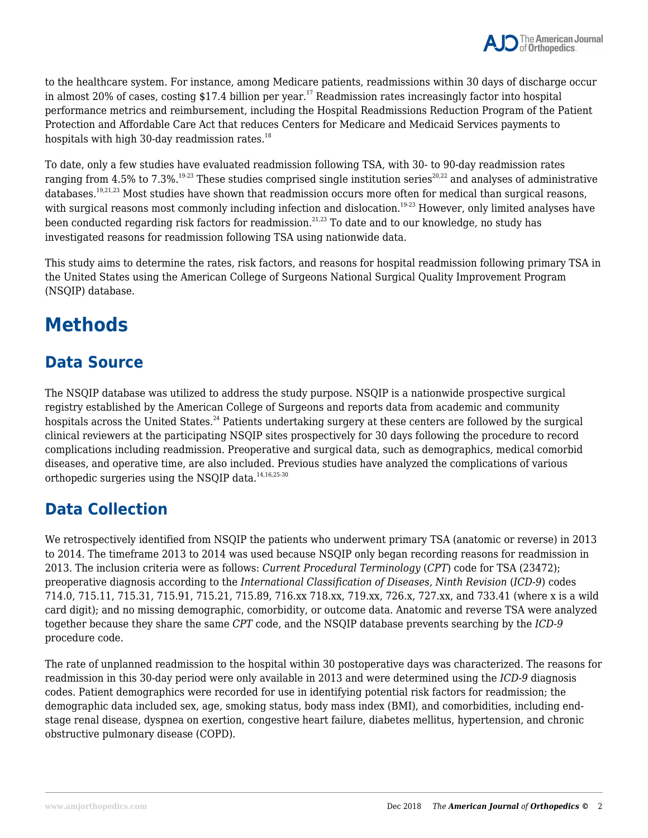to the healthcare system. For instance, among Medicare patients, readmissions within 30 days of discharge occur in almost 20% of cases, costing  $$17.4$  billion per year.<sup>17</sup> Readmission rates increasingly factor into hospital performance metrics and reimbursement, including the Hospital Readmissions Reduction Program of the Patient Protection and Affordable Care Act that reduces Centers for Medicare and Medicaid Services payments to hospitals with high 30-day readmission rates. $^{18}$ 

To date, only a few studies have evaluated readmission following TSA, with 30- to 90-day readmission rates ranging from 4.5% to 7.3%.<sup>19-23</sup> These studies comprised single institution series<sup>20,22</sup> and analyses of administrative databases.19,21,23 Most studies have shown that readmission occurs more often for medical than surgical reasons, with surgical reasons most commonly including infection and dislocation.<sup>19-23</sup> However, only limited analyses have been conducted regarding risk factors for readmission.<sup>21,23</sup> To date and to our knowledge, no study has investigated reasons for readmission following TSA using nationwide data.

This study aims to determine the rates, risk factors, and reasons for hospital readmission following primary TSA in the United States using the American College of Surgeons National Surgical Quality Improvement Program (NSQIP) database.

# **Methods**

## **Data Source**

The NSQIP database was utilized to address the study purpose. NSQIP is a nationwide prospective surgical registry established by the American College of Surgeons and reports data from academic and community hospitals across the United States.<sup>24</sup> Patients undertaking surgery at these centers are followed by the surgical clinical reviewers at the participating NSQIP sites prospectively for 30 days following the procedure to record complications including readmission. Preoperative and surgical data, such as demographics, medical comorbid diseases, and operative time, are also included. Previous studies have analyzed the complications of various orthopedic surgeries using the NSOIP data. $14,16,25-30$ 

### **Data Collection**

We retrospectively identified from NSQIP the patients who underwent primary TSA (anatomic or reverse) in 2013 to 2014. The timeframe 2013 to 2014 was used because NSQIP only began recording reasons for readmission in 2013. The inclusion criteria were as follows: *Current Procedural Terminology* (*CPT*) code for TSA (23472); preoperative diagnosis according to the *International Classification of Diseases, Ninth Revision* (*ICD-9*) codes 714.0, 715.11, 715.31, 715.91, 715.21, 715.89, 716.xx 718.xx, 719.xx, 726.x, 727.xx, and 733.41 (where x is a wild card digit); and no missing demographic, comorbidity, or outcome data. Anatomic and reverse TSA were analyzed together because they share the same *CPT* code, and the NSQIP database prevents searching by the *ICD-9* procedure code.

The rate of unplanned readmission to the hospital within 30 postoperative days was characterized. The reasons for readmission in this 30-day period were only available in 2013 and were determined using the *ICD-9* diagnosis codes. Patient demographics were recorded for use in identifying potential risk factors for readmission; the demographic data included sex, age, smoking status, body mass index (BMI), and comorbidities, including endstage renal disease, dyspnea on exertion, congestive heart failure, diabetes mellitus, hypertension, and chronic obstructive pulmonary disease (COPD).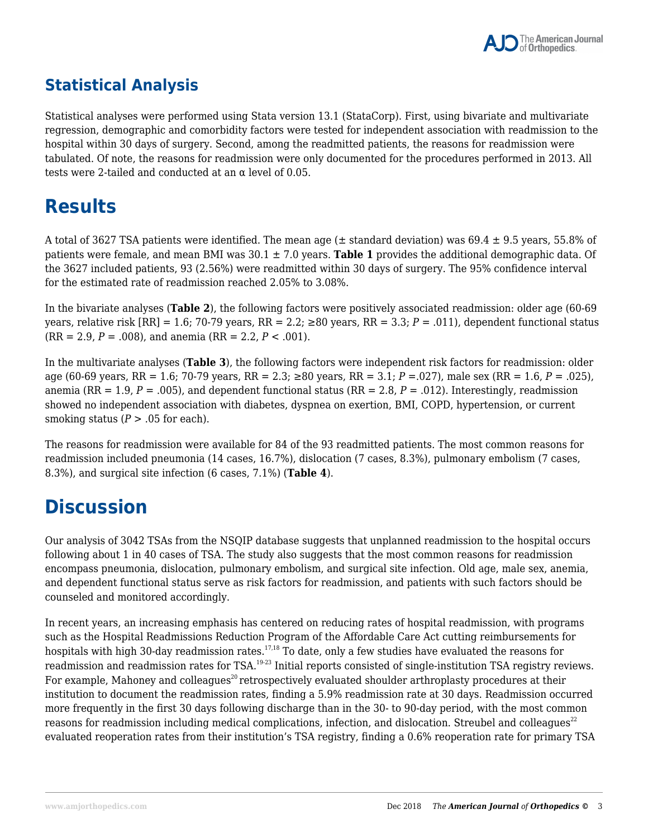## **Statistical Analysis**

Statistical analyses were performed using Stata version 13.1 (StataCorp). First, using bivariate and multivariate regression, demographic and comorbidity factors were tested for independent association with readmission to the hospital within 30 days of surgery. Second, among the readmitted patients, the reasons for readmission were tabulated. Of note, the reasons for readmission were only documented for the procedures performed in 2013. All tests were 2-tailed and conducted at an  $\alpha$  level of 0.05.

# **Results**

A total of 3627 TSA patients were identified. The mean age ( $\pm$  standard deviation) was 69.4  $\pm$  9.5 years, 55.8% of patients were female, and mean BMI was 30.1 ± 7.0 years. **Table 1** provides the additional demographic data. Of the 3627 included patients, 93 (2.56%) were readmitted within 30 days of surgery. The 95% confidence interval for the estimated rate of readmission reached 2.05% to 3.08%.

In the bivariate analyses (**Table 2**), the following factors were positively associated readmission: older age (60-69 years, relative risk  $[RR] = 1.6$ ; 70-79 years,  $RR = 2.2$ ; ≥80 years,  $RR = 3.3$ ;  $P = .011$ ), dependent functional status  $(RR = 2.9, P = .008)$ , and anemia  $(RR = 2.2, P < .001)$ .

In the multivariate analyses (**Table 3**), the following factors were independent risk factors for readmission: older age (60-69 years, RR = 1.6; 70-79 years, RR = 2.3; ≥80 years, RR = 3.1; *P* =.027), male sex (RR = 1.6, *P* = .025), anemia (RR = 1.9,  $P = .005$ ), and dependent functional status (RR = 2.8,  $P = .012$ ). Interestingly, readmission showed no independent association with diabetes, dyspnea on exertion, BMI, COPD, hypertension, or current smoking status  $(P > .05$  for each).

The reasons for readmission were available for 84 of the 93 readmitted patients. The most common reasons for readmission included pneumonia (14 cases, 16.7%), dislocation (7 cases, 8.3%), pulmonary embolism (7 cases, 8.3%), and surgical site infection (6 cases, 7.1%) (**Table 4**).

# **Discussion**

Our analysis of 3042 TSAs from the NSQIP database suggests that unplanned readmission to the hospital occurs following about 1 in 40 cases of TSA. The study also suggests that the most common reasons for readmission encompass pneumonia, dislocation, pulmonary embolism, and surgical site infection. Old age, male sex, anemia, and dependent functional status serve as risk factors for readmission, and patients with such factors should be counseled and monitored accordingly.

In recent years, an increasing emphasis has centered on reducing rates of hospital readmission, with programs such as the Hospital Readmissions Reduction Program of the Affordable Care Act cutting reimbursements for hospitals with high 30-day readmission rates.<sup>17,18</sup> To date, only a few studies have evaluated the reasons for readmission and readmission rates for TSA.19-23 Initial reports consisted of single-institution TSA registry reviews. For example, Mahoney and colleagues<sup>20</sup> retrospectively evaluated shoulder arthroplasty procedures at their institution to document the readmission rates, finding a 5.9% readmission rate at 30 days. Readmission occurred more frequently in the first 30 days following discharge than in the 30- to 90-day period, with the most common reasons for readmission including medical complications, infection, and dislocation. Streubel and colleagues<sup>22</sup> evaluated reoperation rates from their institution's TSA registry, finding a 0.6% reoperation rate for primary TSA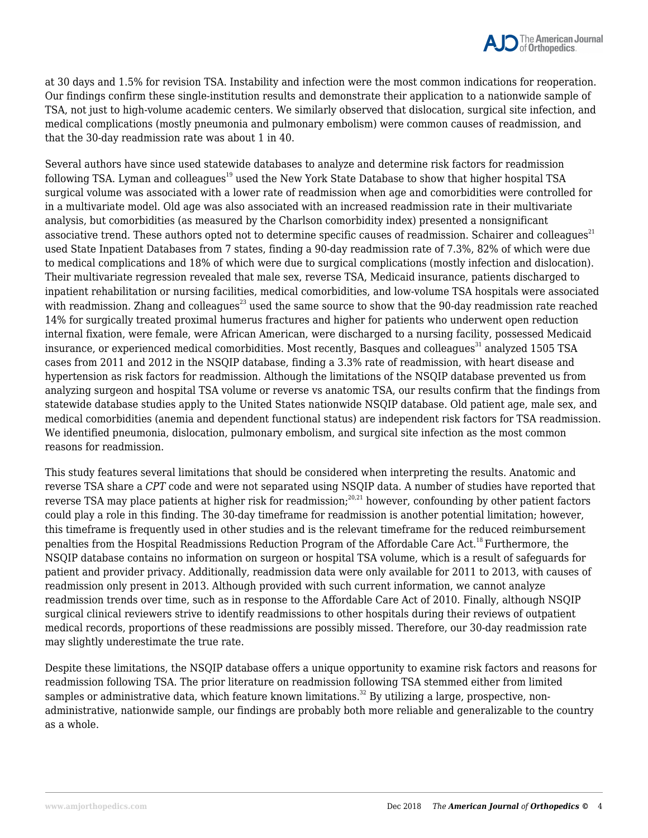at 30 days and 1.5% for revision TSA. Instability and infection were the most common indications for reoperation. Our findings confirm these single-institution results and demonstrate their application to a nationwide sample of TSA, not just to high-volume academic centers. We similarly observed that dislocation, surgical site infection, and medical complications (mostly pneumonia and pulmonary embolism) were common causes of readmission, and that the 30-day readmission rate was about 1 in 40.

Several authors have since used statewide databases to analyze and determine risk factors for readmission following TSA. Lyman and colleagues<sup>19</sup> used the New York State Database to show that higher hospital TSA surgical volume was associated with a lower rate of readmission when age and comorbidities were controlled for in a multivariate model. Old age was also associated with an increased readmission rate in their multivariate analysis, but comorbidities (as measured by the Charlson comorbidity index) presented a nonsignificant associative trend. These authors opted not to determine specific causes of readmission. Schairer and colleagues $^{21}$ used State Inpatient Databases from 7 states, finding a 90-day readmission rate of 7.3%, 82% of which were due to medical complications and 18% of which were due to surgical complications (mostly infection and dislocation). Their multivariate regression revealed that male sex, reverse TSA, Medicaid insurance, patients discharged to inpatient rehabilitation or nursing facilities, medical comorbidities, and low-volume TSA hospitals were associated with readmission. Zhang and colleagues<sup>23</sup> used the same source to show that the 90-day readmission rate reached 14% for surgically treated proximal humerus fractures and higher for patients who underwent open reduction internal fixation, were female, were African American, were discharged to a nursing facility, possessed Medicaid insurance, or experienced medical comorbidities. Most recently, Basques and colleagues<sup>31</sup> analyzed 1505 TSA cases from 2011 and 2012 in the NSQIP database, finding a 3.3% rate of readmission, with heart disease and hypertension as risk factors for readmission. Although the limitations of the NSQIP database prevented us from analyzing surgeon and hospital TSA volume or reverse vs anatomic TSA, our results confirm that the findings from statewide database studies apply to the United States nationwide NSQIP database. Old patient age, male sex, and medical comorbidities (anemia and dependent functional status) are independent risk factors for TSA readmission. We identified pneumonia, dislocation, pulmonary embolism, and surgical site infection as the most common reasons for readmission.

This study features several limitations that should be considered when interpreting the results. Anatomic and reverse TSA share a *CPT* code and were not separated using NSQIP data. A number of studies have reported that reverse TSA may place patients at higher risk for readmission;<sup>20,21</sup> however, confounding by other patient factors could play a role in this finding. The 30-day timeframe for readmission is another potential limitation; however, this timeframe is frequently used in other studies and is the relevant timeframe for the reduced reimbursement penalties from the Hospital Readmissions Reduction Program of the Affordable Care Act.<sup>18</sup> Furthermore, the NSQIP database contains no information on surgeon or hospital TSA volume, which is a result of safeguards for patient and provider privacy. Additionally, readmission data were only available for 2011 to 2013, with causes of readmission only present in 2013. Although provided with such current information, we cannot analyze readmission trends over time, such as in response to the Affordable Care Act of 2010. Finally, although NSQIP surgical clinical reviewers strive to identify readmissions to other hospitals during their reviews of outpatient medical records, proportions of these readmissions are possibly missed. Therefore, our 30-day readmission rate may slightly underestimate the true rate.

Despite these limitations, the NSQIP database offers a unique opportunity to examine risk factors and reasons for readmission following TSA. The prior literature on readmission following TSA stemmed either from limited samples or administrative data, which feature known limitations.<sup>32</sup> By utilizing a large, prospective, nonadministrative, nationwide sample, our findings are probably both more reliable and generalizable to the country as a whole.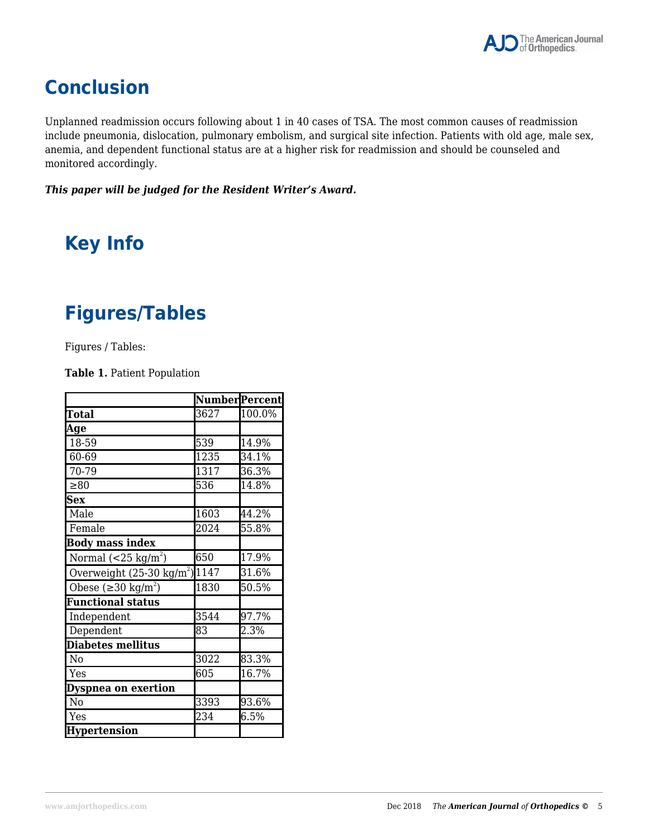# **Conclusion**

Unplanned readmission occurs following about 1 in 40 cases of TSA. The most common causes of readmission include pneumonia, dislocation, pulmonary embolism, and surgical site infection. Patients with old age, male sex, anemia, and dependent functional status are at a higher risk for readmission and should be counseled and monitored accordingly.

### *This paper will be judged for the Resident Writer's Award.*

# **Key Info**

# **Figures/Tables**

Figures / Tables:

**Table 1.** Patient Population

|                                          | Number Percent    |        |
|------------------------------------------|-------------------|--------|
| <b>Total</b>                             | 3627              | 100.0% |
| Age                                      |                   |        |
| 18-59                                    | 539               | 14.9%  |
| 60-69                                    | $\overline{12}35$ | 34.1%  |
| $70 - 79$                                | 1317              | 36.3%  |
| $\geq 80$                                | 536               | 14.8%  |
| Sex                                      |                   |        |
| Male                                     | 1603              | 44.2%  |
| Female                                   | 2024              | 55.8%  |
| <b>Body mass index</b>                   |                   |        |
| Normal $(<25 \text{ kg/m}^2)$            | 650               | 17.9%  |
| Overweight $(25-30 \text{ kg/m}^2)$ 1147 |                   | 31.6%  |
| Obese ( $\geq$ 30 kg/m <sup>2</sup> )    | 1830              | 50.5%  |
| <b>Functional status</b>                 |                   |        |
| Independent                              | 3544              | 97.7%  |
| Dependent                                | 83                | 2.3%   |
| <b>Diabetes mellitus</b>                 |                   |        |
| No                                       | 3022              | 83.3%  |
| Yes                                      | 605               | 16.7%  |
| Dyspnea on exertion                      |                   |        |
| N <sub>0</sub>                           | 3393              | 93.6%  |
| Yes                                      | 234               | 6.5%   |
| <b>Hypertension</b>                      |                   |        |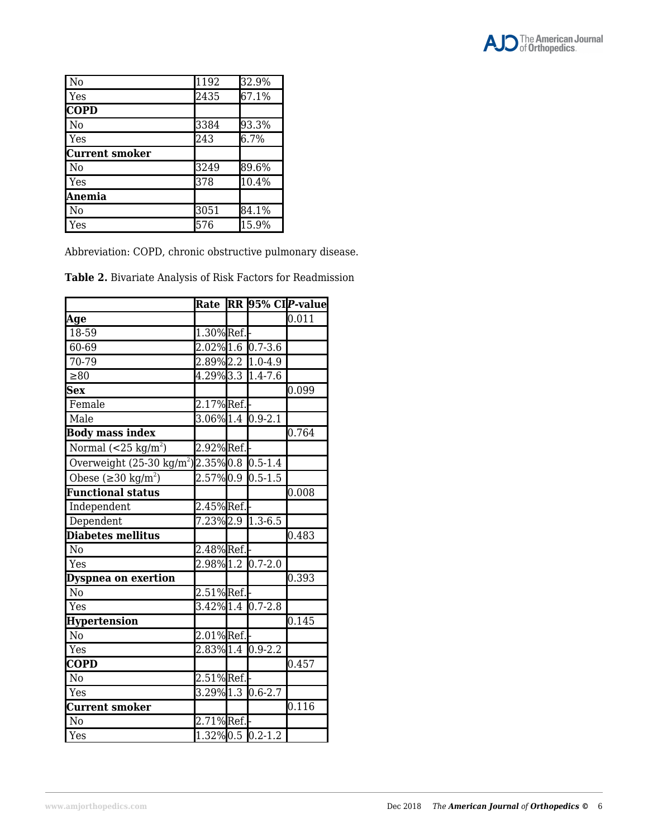

| N <sub>o</sub>        | $\overline{1}192$ | 32.9%   |
|-----------------------|-------------------|---------|
| Yes                   | 2435              | 67.1%   |
| <b>COPD</b>           |                   |         |
| N <sub>o</sub>        | 3384              | 93.3%   |
| Yes                   | 243               | $6.7\%$ |
| <b>Current smoker</b> |                   |         |
| N <sub>o</sub>        | 3249              | 89.6%   |
| Yes                   | 378               | 10.4%   |
| Anemia                |                   |         |
| No                    | 3051              | 84.1%   |
| Yes                   | 576               | 15.9%   |

Abbreviation: COPD, chronic obstructive pulmonary disease.

**Table 2.** Bivariate Analysis of Risk Factors for Readmission

|                                                       |                |                                 | Rate RR 95% CIP-value |
|-------------------------------------------------------|----------------|---------------------------------|-----------------------|
| <u>Age</u>                                            |                |                                 | 0.011                 |
| 18-59                                                 | 1.30% Ref.     |                                 |                       |
| 60-69                                                 |                | 2.02% 1.6 0.7-3.6               |                       |
| $70-79$                                               |                | 2.89% 2.2 1.0-4.9               |                       |
| $\geq 80$                                             |                | 4.29% 3.3 1.4-7.6               |                       |
| <b>Sex</b>                                            |                |                                 | 0.099                 |
| Female                                                | 2.17%Ref.      |                                 |                       |
| Male                                                  |                | 3.06% 1.4 0.9-2.1               |                       |
| <b>Body mass index</b>                                |                |                                 | 0.764                 |
| Normal $(<25 \text{ kg/m}^2)$                         | 2.92%Ref.      |                                 |                       |
| Overweight (25-30 kg/m <sup>2</sup> )2.35%0.8 0.5-1.4 |                |                                 |                       |
| Obese $(\geq 30 \text{ kg/m}^2)$                      | $2.57\%$ 0.9   | $0.5 - 1.5$                     |                       |
| <b>Functional status</b>                              |                |                                 | 0.008                 |
| Independent                                           | 2.45%Ref.      |                                 |                       |
| Dependent                                             |                | 7.23% 2.9 1.3-6.5               |                       |
| Diabetes mellitus                                     |                |                                 | 0.483                 |
| N <sub>o</sub>                                        | 2.48%Ref.      |                                 |                       |
| Yes                                                   | $2.98\%$ 1.2   | $0.7 - 2.0$                     |                       |
| Dyspnea on exertion                                   |                |                                 | 0.393                 |
| N <sub>o</sub>                                        | $2.51\%$ Ref.  |                                 |                       |
| Yes                                                   |                | $3.42\%$ 1.4 0.7-2.8            |                       |
| <b>Hypertension</b>                                   |                |                                 | 0.145                 |
| N <sub>o</sub>                                        | 2.01%Ref.      |                                 |                       |
| Yes                                                   |                | 2.83% 1.4 0.9-2.2               |                       |
| $\overline{\mathbf{COPD}}$                            |                |                                 | $0.\overline{457}$    |
| N <sub>o</sub>                                        | 2.51%Ref.      |                                 |                       |
| Yes                                                   | $3.29\%$ $1.3$ | $0.6 - 2.7$                     |                       |
| <b>Current smoker</b>                                 |                |                                 | 0.116                 |
| N <sub>0</sub>                                        | 2.71%Ref.      |                                 |                       |
| Yes                                                   |                | $1.\overline{32\%}$ 0.5 0.2-1.2 |                       |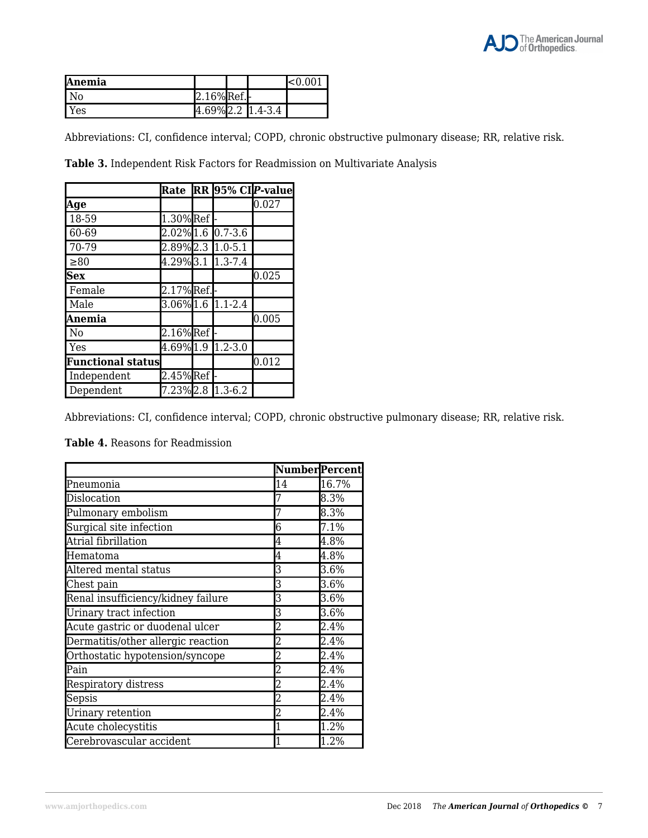| <b>Anemia</b>    |           |                                      | $\approx 0.001$ |
|------------------|-----------|--------------------------------------|-----------------|
| l No             | 2.16%Ref. |                                      |                 |
| $\mathsf{I}$ Yes |           | $4.69\%$ 2.2 $\vert$ 1.4-3.4 $\vert$ |                 |

Abbreviations: CI, confidence interval; COPD, chronic obstructive pulmonary disease; RR, relative risk.

**Table 3.** Independent Risk Factors for Readmission on Multivariate Analysis

|                          | Rate                |                   | RR 95% CIP-value |
|--------------------------|---------------------|-------------------|------------------|
| Age                      |                     |                   | 0.027            |
| 18-59                    | $1.30\%$ Ref        |                   |                  |
| 60-69                    |                     | 2.02% 1.6 0.7-3.6 |                  |
| 70-79                    |                     | 2.89% 2.3 1.0-5.1 |                  |
| $\geq 80$                |                     | 4.29% 3.1 1.3-7.4 |                  |
| <b>Sex</b>               |                     |                   | 0.025            |
| Female                   | $2.17\sqrt{8}$ Ref. |                   |                  |
| Male                     |                     | 3.06% 1.6 1.1-2.4 |                  |
| Anemia                   |                     |                   | 0.005            |
| N <sub>o</sub>           | $2.16\sqrt{Ref}$    |                   |                  |
| Yes                      |                     | 4.69% 1.9 1.2-3.0 |                  |
| <b>Functional status</b> |                     |                   | 0.012            |
| Independent              | $2.45%$ Ref         |                   |                  |
| Dependent                |                     | 7.23% 2.8 1.3-6.2 |                  |

Abbreviations: CI, confidence interval; COPD, chronic obstructive pulmonary disease; RR, relative risk.

### **Table 4.** Reasons for Readmission

|                                    |                | <b>Number</b> Percent |
|------------------------------------|----------------|-----------------------|
| Pneumonia                          | 14             | 16.7%                 |
| Dislocation                        |                | 8.3%                  |
| Pulmonary embolism                 |                | 8.3%                  |
| Surgical site infection            | 6              | 7.1%                  |
| Atrial fibrillation                | 4              | 4.8%                  |
| Hematoma                           | 4              | 4.8%                  |
| Altered mental status              | 3              | 3.6%                  |
| Chest pain                         | 3              | 3.6%                  |
| Renal insufficiency/kidney failure | 3              | 3.6%                  |
| Urinary tract infection            | 3              | 3.6%                  |
| Acute gastric or duodenal ulcer    | 2              | 2.4%                  |
| Dermatitis/other allergic reaction | $\overline{2}$ | 2.4%                  |
| Orthostatic hypotension/syncope    | 2              | 2.4%                  |
| Pain                               |                | 2.4%                  |
| Respiratory distress               | 2              | 2.4%                  |
| Sepsis                             | 2              | 2.4%                  |
| Urinary retention                  | 2              | 2.4%                  |
| Acute cholecystitis                |                | 1.2%                  |
| Cerebrovascular accident           |                | 1.2%                  |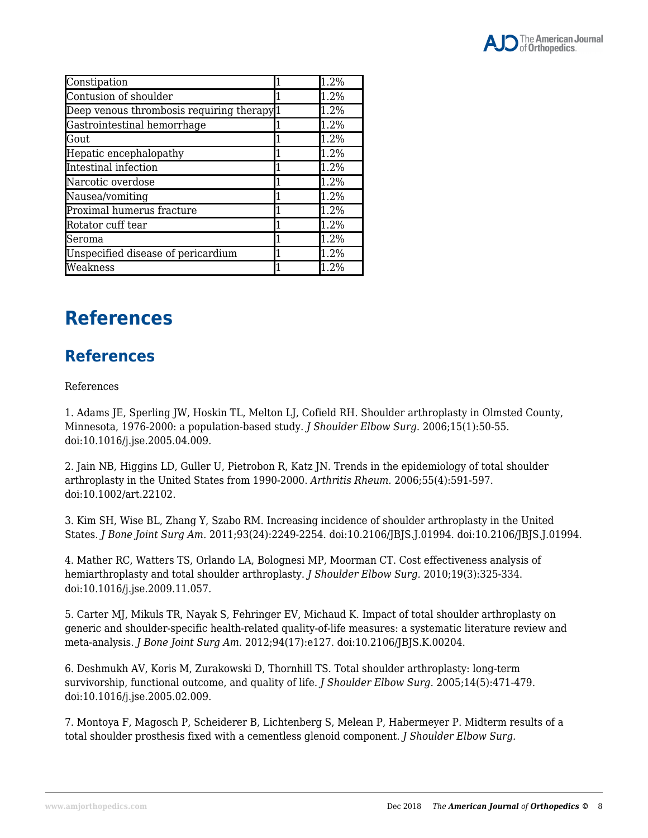

| Constipation                                          | 1.2% |
|-------------------------------------------------------|------|
| Contusion of shoulder                                 | 1.2% |
| Deep venous thrombosis requiring therapy <sup>1</sup> | 1.2% |
| Gastrointestinal hemorrhage                           | 1.2% |
| Gout                                                  | 1.2% |
| Hepatic encephalopathy                                | 1.2% |
| Intestinal infection                                  | 1.2% |
| Narcotic overdose                                     | 1.2% |
| Nausea/vomiting                                       | 1.2% |
| Proximal humerus fracture                             | 1.2% |
| Rotator cuff tear                                     | 1.2% |
| Seroma                                                | 1.2% |
| Unspecified disease of pericardium                    | 1.2% |
| Weakness                                              | 1.2% |

# **References**

### **References**

### References

1. Adams JE, Sperling JW, Hoskin TL, Melton LJ, Cofield RH. Shoulder arthroplasty in Olmsted County, Minnesota, 1976-2000: a population-based study. *J Shoulder Elbow Surg.* 2006;15(1):50-55. doi:10.1016/j.jse.2005.04.009.

2. Jain NB, Higgins LD, Guller U, Pietrobon R, Katz JN. Trends in the epidemiology of total shoulder arthroplasty in the United States from 1990-2000. *Arthritis Rheum.* 2006;55(4):591-597. doi:10.1002/art.22102.

3. Kim SH, Wise BL, Zhang Y, Szabo RM. Increasing incidence of shoulder arthroplasty in the United States. *J Bone Joint Surg Am.* 2011;93(24):2249-2254. doi:10.2106/JBJS.J.01994. doi:10.2106/JBJS.J.01994.

4. Mather RC, Watters TS, Orlando LA, Bolognesi MP, Moorman CT. Cost effectiveness analysis of hemiarthroplasty and total shoulder arthroplasty. *J Shoulder Elbow Surg.* 2010;19(3):325-334. doi:10.1016/j.jse.2009.11.057.

5. Carter MJ, Mikuls TR, Nayak S, Fehringer EV, Michaud K. Impact of total shoulder arthroplasty on generic and shoulder-specific health-related quality-of-life measures: a systematic literature review and meta-analysis. *J Bone Joint Surg Am.* 2012;94(17):e127. doi:10.2106/JBJS.K.00204.

6. Deshmukh AV, Koris M, Zurakowski D, Thornhill TS. Total shoulder arthroplasty: long-term survivorship, functional outcome, and quality of life. *J Shoulder Elbow Surg.* 2005;14(5):471-479. doi:10.1016/j.jse.2005.02.009.

7. Montoya F, Magosch P, Scheiderer B, Lichtenberg S, Melean P, Habermeyer P. Midterm results of a total shoulder prosthesis fixed with a cementless glenoid component. *J Shoulder Elbow Surg.*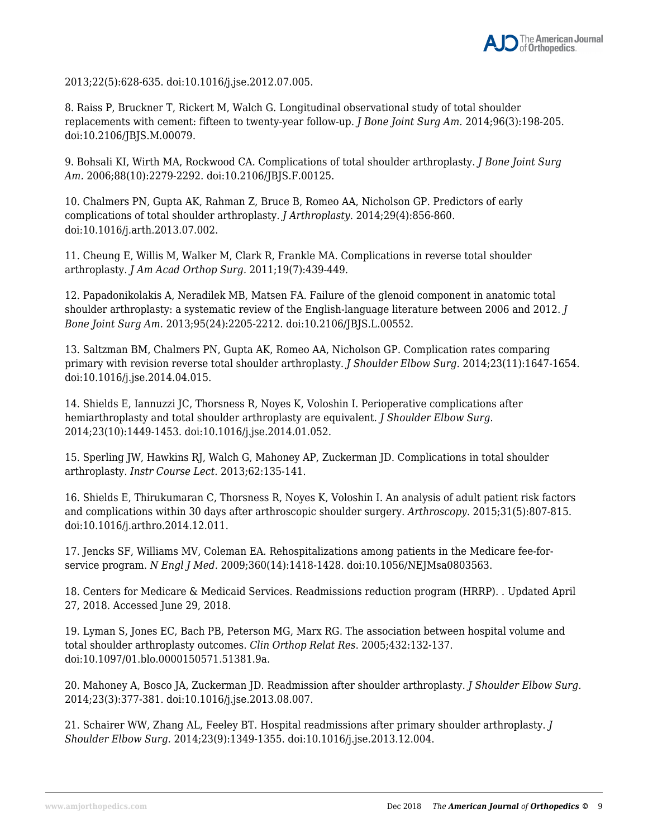2013;22(5):628-635. doi:10.1016/j.jse.2012.07.005.

8. Raiss P, Bruckner T, Rickert M, Walch G. Longitudinal observational study of total shoulder replacements with cement: fifteen to twenty-year follow-up. *J Bone Joint Surg Am.* 2014;96(3):198-205. doi:10.2106/JBJS.M.00079.

9. Bohsali KI, Wirth MA, Rockwood CA. Complications of total shoulder arthroplasty. *J Bone Joint Surg Am.* 2006;88(10):2279-2292. doi:10.2106/JBJS.F.00125.

10. Chalmers PN, Gupta AK, Rahman Z, Bruce B, Romeo AA, Nicholson GP. Predictors of early complications of total shoulder arthroplasty. *J Arthroplasty.* 2014;29(4):856-860. doi:10.1016/j.arth.2013.07.002.

11. Cheung E, Willis M, Walker M, Clark R, Frankle MA. Complications in reverse total shoulder arthroplasty. *J Am Acad Orthop Surg.* 2011;19(7):439-449.

12. Papadonikolakis A, Neradilek MB, Matsen FA. Failure of the glenoid component in anatomic total shoulder arthroplasty: a systematic review of the English-language literature between 2006 and 2012. *J Bone Joint Surg Am.* 2013;95(24):2205-2212. doi:10.2106/JBJS.L.00552.

13. Saltzman BM, Chalmers PN, Gupta AK, Romeo AA, Nicholson GP. Complication rates comparing primary with revision reverse total shoulder arthroplasty. *J Shoulder Elbow Surg.* 2014;23(11):1647-1654. doi:10.1016/j.jse.2014.04.015.

14. Shields E, Iannuzzi JC, Thorsness R, Noyes K, Voloshin I. Perioperative complications after hemiarthroplasty and total shoulder arthroplasty are equivalent. *J Shoulder Elbow Surg.* 2014;23(10):1449-1453. doi:10.1016/j.jse.2014.01.052.

15. Sperling JW, Hawkins RJ, Walch G, Mahoney AP, Zuckerman JD. Complications in total shoulder arthroplasty. *Instr Course Lect.* 2013;62:135-141.

16. Shields E, Thirukumaran C, Thorsness R, Noyes K, Voloshin I. An analysis of adult patient risk factors and complications within 30 days after arthroscopic shoulder surgery. *Arthroscopy*. 2015;31(5):807-815. doi:10.1016/j.arthro.2014.12.011.

17. Jencks SF, Williams MV, Coleman EA. Rehospitalizations among patients in the Medicare fee-forservice program. *N Engl J Med.* 2009;360(14):1418-1428. doi:10.1056/NEJMsa0803563.

18. Centers for Medicare & Medicaid Services. Readmissions reduction program (HRRP). . Updated April 27, 2018. Accessed June 29, 2018.

19. Lyman S, Jones EC, Bach PB, Peterson MG, Marx RG. The association between hospital volume and total shoulder arthroplasty outcomes. *Clin Orthop Relat Res*. 2005;432:132-137. doi:10.1097/01.blo.0000150571.51381.9a.

20. Mahoney A, Bosco JA, Zuckerman JD. Readmission after shoulder arthroplasty. *J Shoulder Elbow Surg.* 2014;23(3):377-381. doi:10.1016/j.jse.2013.08.007.

21. Schairer WW, Zhang AL, Feeley BT. Hospital readmissions after primary shoulder arthroplasty. *J Shoulder Elbow Surg.* 2014;23(9):1349-1355. doi:10.1016/j.jse.2013.12.004.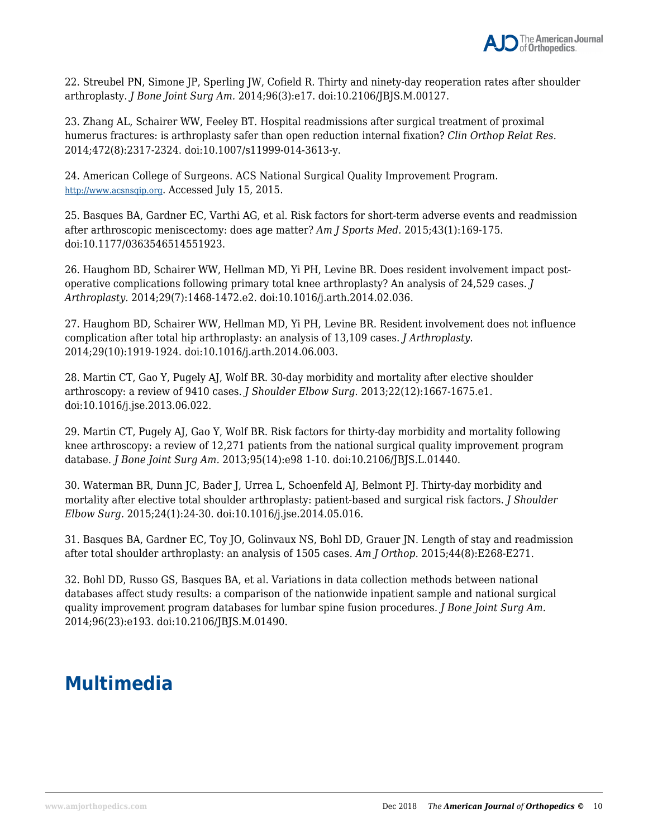

22. Streubel PN, Simone JP, Sperling JW, Cofield R. Thirty and ninety-day reoperation rates after shoulder arthroplasty. *J Bone Joint Surg Am.* 2014;96(3):e17. doi:10.2106/JBJS.M.00127.

23. Zhang AL, Schairer WW, Feeley BT. Hospital readmissions after surgical treatment of proximal humerus fractures: is arthroplasty safer than open reduction internal fixation? *Clin Orthop Relat Res.* 2014;472(8):2317-2324. doi:10.1007/s11999-014-3613-y.

24. American College of Surgeons. ACS National Surgical Quality Improvement Program. http://www.acsnsqip.org. Accessed July 15, 2015.

25. Basques BA, Gardner EC, Varthi AG, et al. Risk factors for short-term adverse events and readmission after arthroscopic meniscectomy: does age matter? *Am J Sports Med.* 2015;43(1):169-175. doi:10.1177/0363546514551923.

26. Haughom BD, Schairer WW, Hellman MD, Yi PH, Levine BR. Does resident involvement impact postoperative complications following primary total knee arthroplasty? An analysis of 24,529 cases. *J Arthroplasty.* 2014;29(7):1468-1472.e2. doi:10.1016/j.arth.2014.02.036.

27. Haughom BD, Schairer WW, Hellman MD, Yi PH, Levine BR. Resident involvement does not influence complication after total hip arthroplasty: an analysis of 13,109 cases. *J Arthroplasty.* 2014;29(10):1919-1924. doi:10.1016/j.arth.2014.06.003.

28. Martin CT, Gao Y, Pugely AJ, Wolf BR. 30-day morbidity and mortality after elective shoulder arthroscopy: a review of 9410 cases. *J Shoulder Elbow Surg*. 2013;22(12):1667-1675.e1. doi:10.1016/j.jse.2013.06.022.

29. Martin CT, Pugely AJ, Gao Y, Wolf BR. Risk factors for thirty-day morbidity and mortality following knee arthroscopy: a review of 12,271 patients from the national surgical quality improvement program database. *J Bone Joint Surg Am.* 2013;95(14):e98 1-10. doi:10.2106/JBJS.L.01440.

30. Waterman BR, Dunn JC, Bader J, Urrea L, Schoenfeld AJ, Belmont PJ. Thirty-day morbidity and mortality after elective total shoulder arthroplasty: patient-based and surgical risk factors. *J Shoulder Elbow Surg.* 2015;24(1):24-30. doi:10.1016/j.jse.2014.05.016.

31. Basques BA, Gardner EC, Toy JO, Golinvaux NS, Bohl DD, Grauer JN. Length of stay and readmission after total shoulder arthroplasty: an analysis of 1505 cases. *Am J Orthop.* 2015;44(8):E268-E271.

32. Bohl DD, Russo GS, Basques BA, et al. Variations in data collection methods between national databases affect study results: a comparison of the nationwide inpatient sample and national surgical quality improvement program databases for lumbar spine fusion procedures. *J Bone Joint Surg Am.* 2014;96(23):e193. doi:10.2106/JBJS.M.01490.

## **Multimedia**